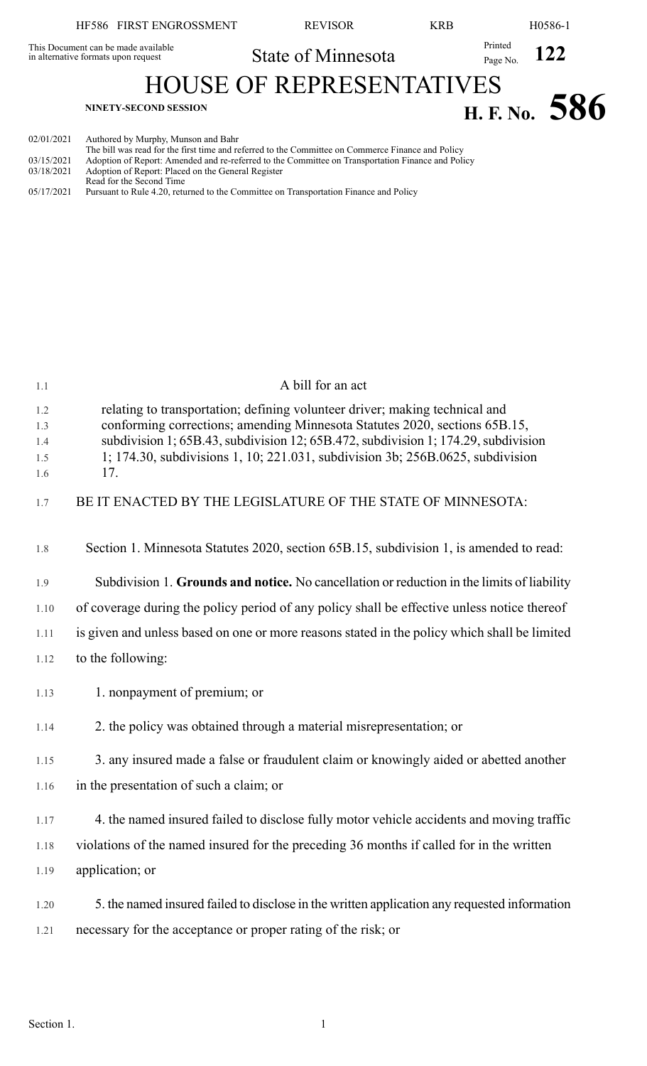## HF586 FIRST ENGROSSMENT REVISOR KRB H0586-1 State of Minnesota Printed Page No. 122 This Document can be made available in alternative formats upon request HOUSE OF REPRESENTATIVES **H. F.** No. 586

| 02/01/2021 | Authored by Murphy, Munson and Bahr |  |  |  |  |
|------------|-------------------------------------|--|--|--|--|
|            |                                     |  |  |  |  |

|          |  |   |  |  | The bill was read for the first time and referred to the Committee on Commerce Finance and Policy |
|----------|--|---|--|--|---------------------------------------------------------------------------------------------------|
| -------- |  | . |  |  |                                                                                                   |

- 03/15/2021 Adoption of Report: Amended and re-referred to the Committee on Transportation Finance and Policy
- 03/18/2021 Adoption of Report: Placed on the General Register Read for the Second Time

```
05/17/2021 Pursuant to Rule 4.20, returned to the Committee on Transportation Finance and Policy
```

|                                        | A bill for an act                                                                                                                                                                                                                                                                                                                        |
|----------------------------------------|------------------------------------------------------------------------------------------------------------------------------------------------------------------------------------------------------------------------------------------------------------------------------------------------------------------------------------------|
| 1.1<br>1.2<br>1.3<br>1.4<br>1.5<br>1.6 | relating to transportation; defining volunteer driver; making technical and<br>conforming corrections; amending Minnesota Statutes 2020, sections 65B.15,<br>subdivision 1; 65B.43, subdivision 12; 65B.472, subdivision 1; 174.29, subdivision<br>1; 174.30, subdivisions 1, 10; 221.031, subdivision 3b; 256B.0625, subdivision<br>17. |
| 1.7                                    | BE IT ENACTED BY THE LEGISLATURE OF THE STATE OF MINNESOTA:                                                                                                                                                                                                                                                                              |
| 1.8                                    | Section 1. Minnesota Statutes 2020, section 65B.15, subdivision 1, is amended to read:                                                                                                                                                                                                                                                   |
| 1.9                                    | Subdivision 1. Grounds and notice. No cancellation or reduction in the limits of liability                                                                                                                                                                                                                                               |
| 1.10                                   | of coverage during the policy period of any policy shall be effective unless notice thereof                                                                                                                                                                                                                                              |
| 1.11                                   | is given and unless based on one or more reasons stated in the policy which shall be limited                                                                                                                                                                                                                                             |
| 1.12                                   | to the following:                                                                                                                                                                                                                                                                                                                        |
| 1.13                                   | 1. nonpayment of premium; or                                                                                                                                                                                                                                                                                                             |
| 1.14                                   | 2. the policy was obtained through a material misrepresentation; or                                                                                                                                                                                                                                                                      |
| 1.15                                   | 3. any insured made a false or fraudulent claim or knowingly aided or abetted another                                                                                                                                                                                                                                                    |
| 1.16                                   | in the presentation of such a claim; or                                                                                                                                                                                                                                                                                                  |
| 1.17                                   | 4. the named insured failed to disclose fully motor vehicle accidents and moving traffic                                                                                                                                                                                                                                                 |
| 1.18                                   | violations of the named insured for the preceding 36 months if called for in the written                                                                                                                                                                                                                                                 |
| 1.19                                   | application; or                                                                                                                                                                                                                                                                                                                          |
| 1.20<br>1.21                           | 5. the named insured failed to disclose in the written application any requested information<br>necessary for the acceptance or proper rating of the risk; or                                                                                                                                                                            |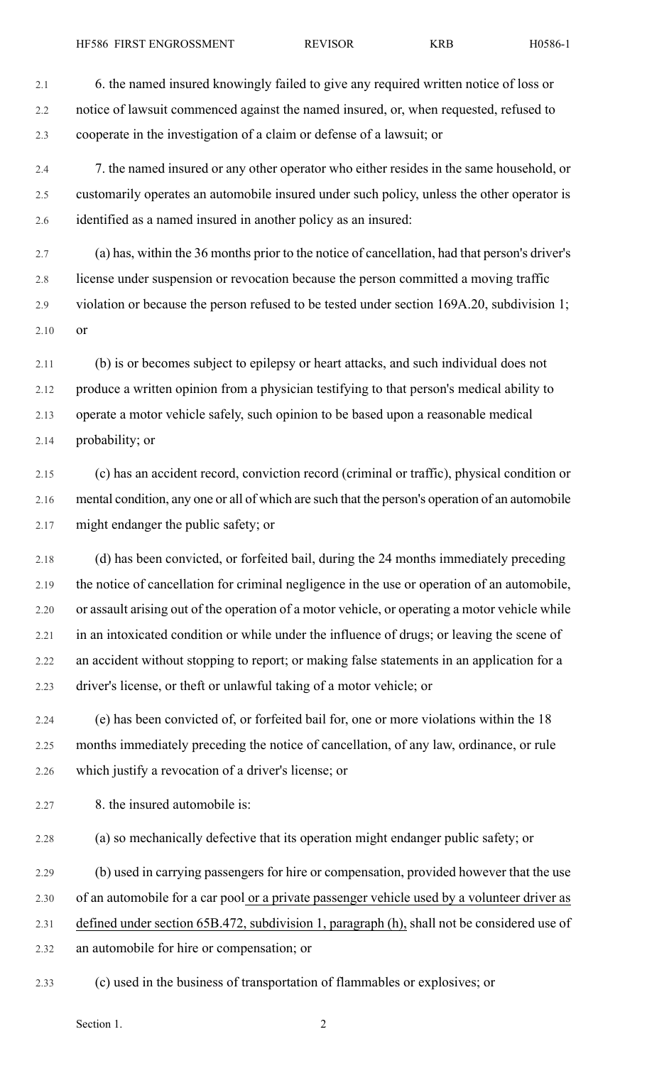2.1 6. the named insured knowingly failed to give any required written notice of loss or 2.2 notice of lawsuit commenced against the named insured, or, when requested, refused to 2.3 cooperate in the investigation of a claim or defense of a lawsuit; or

2.4 7. the named insured or any other operator who either resides in the same household, or 2.5 customarily operates an automobile insured under such policy, unless the other operator is 2.6 identified as a named insured in another policy as an insured:

2.7 (a) has, within the 36 months prior to the notice of cancellation, had that person's driver's 2.8 license under suspension or revocation because the person committed a moving traffic 2.9 violation or because the person refused to be tested under section 169A.20, subdivision 1; 2.10 or

2.11 (b) is or becomes subject to epilepsy or heart attacks, and such individual does not 2.12 produce a written opinion from a physician testifying to that person's medical ability to 2.13 operate a motor vehicle safely, such opinion to be based upon a reasonable medical 2.14 probability; or

2.15 (c) has an accident record, conviction record (criminal or traffic), physical condition or 2.16 mental condition, any one or all of which are such that the person's operation of an automobile 2.17 might endanger the public safety; or

2.18 (d) has been convicted, or forfeited bail, during the 24 months immediately preceding 2.19 the notice of cancellation for criminal negligence in the use or operation of an automobile, 2.20 or assault arising out of the operation of a motor vehicle, or operating a motor vehicle while 2.21 in an intoxicated condition or while under the influence of drugs; or leaving the scene of 2.22 an accident without stopping to report; or making false statements in an application for a 2.23 driver's license, or theft or unlawful taking of a motor vehicle; or

2.24 (e) has been convicted of, or forfeited bail for, one or more violations within the 18 2.25 months immediately preceding the notice of cancellation, of any law, ordinance, or rule 2.26 which justify a revocation of a driver's license; or

2.27 8. the insured automobile is:

2.28 (a) so mechanically defective that its operation might endanger public safety; or

2.29 (b) used in carrying passengers for hire or compensation, provided however that the use

2.30 of an automobile for a car pool or a private passenger vehicle used by a volunteer driver as

2.31 defined under section 65B.472, subdivision 1, paragraph (h), shall not be considered use of

- 2.32 an automobile for hire or compensation; or
- 2.33 (c) used in the business of transportation of flammables or explosives; or

Section 1.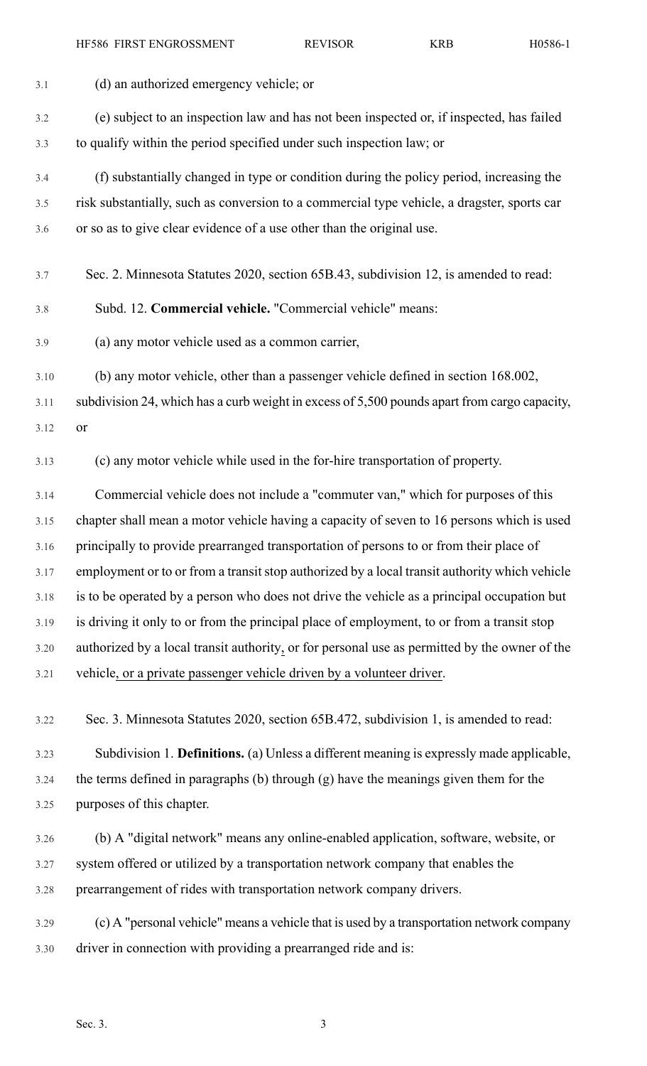HF586 FIRST ENGROSSMENT REVISOR KRB H0586-1

| 3.1  | (d) an authorized emergency vehicle; or                                                       |
|------|-----------------------------------------------------------------------------------------------|
| 3.2  | (e) subject to an inspection law and has not been inspected or, if inspected, has failed      |
| 3.3  | to qualify within the period specified under such inspection law; or                          |
| 3.4  | (f) substantially changed in type or condition during the policy period, increasing the       |
| 3.5  | risk substantially, such as conversion to a commercial type vehicle, a dragster, sports car   |
| 3.6  | or so as to give clear evidence of a use other than the original use.                         |
|      |                                                                                               |
| 3.7  | Sec. 2. Minnesota Statutes 2020, section 65B.43, subdivision 12, is amended to read:          |
| 3.8  | Subd. 12. Commercial vehicle. "Commercial vehicle" means:                                     |
| 3.9  | (a) any motor vehicle used as a common carrier,                                               |
| 3.10 | (b) any motor vehicle, other than a passenger vehicle defined in section 168.002,             |
| 3.11 | subdivision 24, which has a curb weight in excess of 5,500 pounds apart from cargo capacity,  |
| 3.12 | or                                                                                            |
| 3.13 | (c) any motor vehicle while used in the for-hire transportation of property.                  |
| 3.14 | Commercial vehicle does not include a "commuter van," which for purposes of this              |
| 3.15 | chapter shall mean a motor vehicle having a capacity of seven to 16 persons which is used     |
| 3.16 | principally to provide prearranged transportation of persons to or from their place of        |
| 3.17 | employment or to or from a transit stop authorized by a local transit authority which vehicle |
| 3.18 | is to be operated by a person who does not drive the vehicle as a principal occupation but    |
| 3.19 | is driving it only to or from the principal place of employment, to or from a transit stop    |
| 3.20 | authorized by a local transit authority, or for personal use as permitted by the owner of the |
| 3.21 | vehicle, or a private passenger vehicle driven by a volunteer driver.                         |
| 3.22 | Sec. 3. Minnesota Statutes 2020, section 65B.472, subdivision 1, is amended to read:          |
| 3.23 | Subdivision 1. Definitions. (a) Unless a different meaning is expressly made applicable,      |

3.24 the terms defined in paragraphs (b) through (g) have the meanings given them for the 3.25 purposes of this chapter.

3.26 (b) A "digital network" means any online-enabled application, software, website, or 3.27 system offered or utilized by a transportation network company that enables the 3.28 prearrangement of rides with transportation network company drivers.

3.29 (c) A "personal vehicle" means a vehicle that is used by a transportation network company 3.30 driver in connection with providing a prearranged ride and is: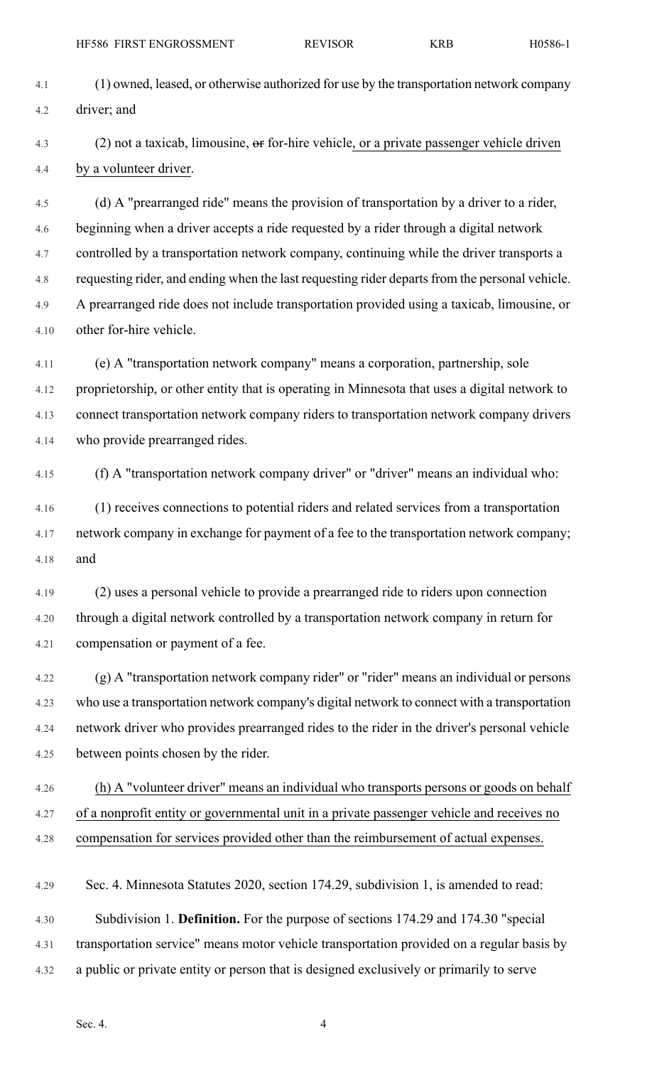4.1 (1) owned, leased, or otherwise authorized for use by the transportation network company 4.2 driver; and

4.3 (2) not a taxicab, limousine,  $\Theta$  for-hire vehicle, or a private passenger vehicle driven 4.4 by a volunteer driver.

4.5 (d) A "prearranged ride" means the provision of transportation by a driver to a rider, 4.6 beginning when a driver accepts a ride requested by a rider through a digital network 4.7 controlled by a transportation network company, continuing while the driver transports a 4.8 requesting rider, and ending when the last requesting rider departs from the personal vehicle. 4.9 A prearranged ride does not include transportation provided using a taxicab, limousine, or 4.10 other for-hire vehicle.

4.11 (e) A "transportation network company" means a corporation, partnership, sole 4.12 proprietorship, or other entity that is operating in Minnesota that uses a digital network to 4.13 connect transportation network company riders to transportation network company drivers 4.14 who provide prearranged rides.

4.15 (f) A "transportation network company driver" or "driver" means an individual who:

4.16 (1) receives connections to potential riders and related services from a transportation 4.17 network company in exchange for payment of a fee to the transportation network company; 4.18 and

4.19 (2) uses a personal vehicle to provide a prearranged ride to riders upon connection 4.20 through a digital network controlled by a transportation network company in return for 4.21 compensation or payment of a fee.

4.22 (g) A "transportation network company rider" or "rider" means an individual or persons 4.23 who use a transportation network company's digital network to connect with a transportation 4.24 network driver who provides prearranged rides to the rider in the driver's personal vehicle 4.25 between points chosen by the rider.

4.26 (h) A "volunteer driver" means an individual who transports persons or goods on behalf 4.27 of a nonprofit entity or governmental unit in a private passenger vehicle and receives no 4.28 compensation for services provided other than the reimbursement of actual expenses.

4.29 Sec. 4. Minnesota Statutes 2020, section 174.29, subdivision 1, is amended to read:

4.30 Subdivision 1. **Definition.** For the purpose of sections 174.29 and 174.30 "special 4.31 transportation service" means motor vehicle transportation provided on a regular basis by 4.32 a public or private entity or person that is designed exclusively or primarily to serve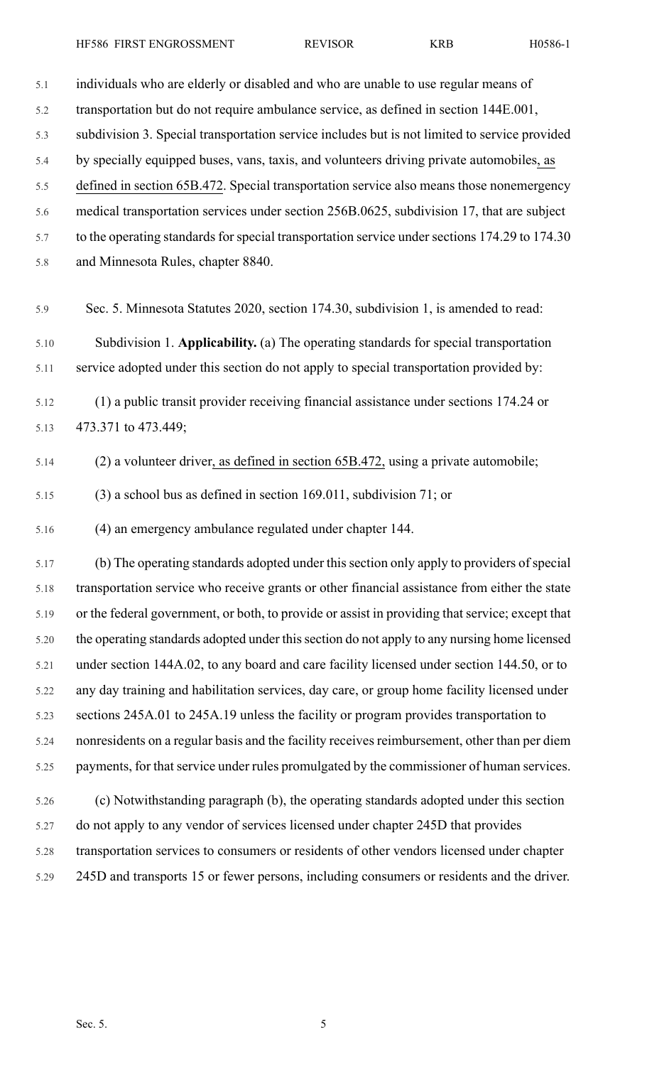5.1 individuals who are elderly or disabled and who are unable to use regular means of 5.2 transportation but do not require ambulance service, as defined in section 144E.001, 5.3 subdivision 3. Special transportation service includes but is not limited to service provided 5.4 by specially equipped buses, vans, taxis, and volunteers driving private automobiles, as 5.5 defined in section 65B.472. Special transportation service also means those nonemergency 5.6 medical transportation services under section 256B.0625, subdivision 17, that are subject 5.7 to the operating standards for special transportation service under sections 174.29 to 174.30

5.8 and Minnesota Rules, chapter 8840.

5.9 Sec. 5. Minnesota Statutes 2020, section 174.30, subdivision 1, is amended to read:

5.10 Subdivision 1. **Applicability.** (a) The operating standards for special transportation 5.11 service adopted under this section do not apply to special transportation provided by:

5.12 (1) a public transit provider receiving financial assistance under sections 174.24 or 5.13 473.371 to 473.449;

5.14 (2) a volunteer driver, as defined in section 65B.472, using a private automobile;

5.15 (3) a school bus as defined in section 169.011, subdivision 71; or

5.16 (4) an emergency ambulance regulated under chapter 144.

5.17 (b) The operating standards adopted under thissection only apply to providers ofspecial 5.18 transportation service who receive grants or other financial assistance from either the state 5.19 or the federal government, or both, to provide or assist in providing that service; except that 5.20 the operating standards adopted under this section do not apply to any nursing home licensed 5.21 under section 144A.02, to any board and care facility licensed under section 144.50, or to 5.22 any day training and habilitation services, day care, or group home facility licensed under 5.23 sections 245A.01 to 245A.19 unless the facility or program provides transportation to 5.24 nonresidents on a regular basis and the facility receives reimbursement, other than per diem 5.25 payments, for that service under rules promulgated by the commissioner of human services.

5.26 (c) Notwithstanding paragraph (b), the operating standards adopted under this section 5.27 do not apply to any vendor of services licensed under chapter 245D that provides 5.28 transportation services to consumers or residents of other vendors licensed under chapter 5.29 245D and transports 15 or fewer persons, including consumers or residents and the driver.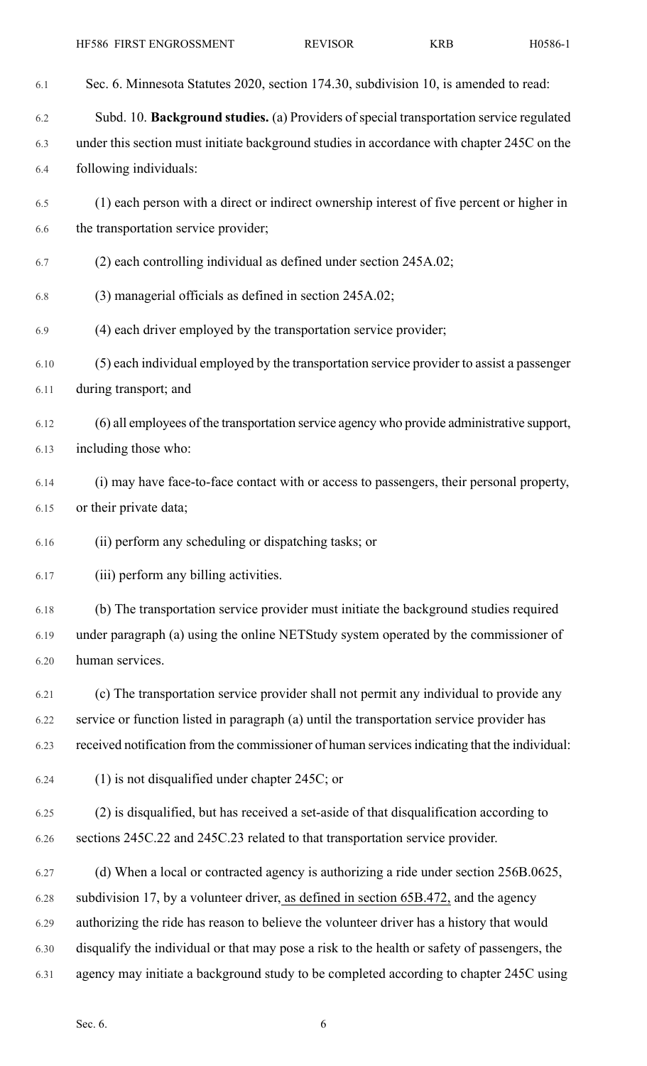| 6.1  | Sec. 6. Minnesota Statutes 2020, section 174.30, subdivision 10, is amended to read:          |
|------|-----------------------------------------------------------------------------------------------|
| 6.2  | Subd. 10. Background studies. (a) Providers of special transportation service regulated       |
| 6.3  | under this section must initiate background studies in accordance with chapter 245C on the    |
| 6.4  | following individuals:                                                                        |
| 6.5  | (1) each person with a direct or indirect ownership interest of five percent or higher in     |
| 6.6  | the transportation service provider;                                                          |
| 6.7  | (2) each controlling individual as defined under section 245A.02;                             |
| 6.8  | (3) managerial officials as defined in section 245A.02;                                       |
| 6.9  | (4) each driver employed by the transportation service provider;                              |
| 6.10 | (5) each individual employed by the transportation service provider to assist a passenger     |
| 6.11 | during transport; and                                                                         |
| 6.12 | (6) all employees of the transportation service agency who provide administrative support,    |
| 6.13 | including those who:                                                                          |
| 6.14 | (i) may have face-to-face contact with or access to passengers, their personal property,      |
| 6.15 | or their private data;                                                                        |
| 6.16 | (ii) perform any scheduling or dispatching tasks; or                                          |
| 6.17 | (iii) perform any billing activities.                                                         |
| 6.18 | (b) The transportation service provider must initiate the background studies required         |
| 6.19 | under paragraph (a) using the online NETStudy system operated by the commissioner of          |
| 6.20 | human services.                                                                               |
| 6.21 | (c) The transportation service provider shall not permit any individual to provide any        |
| 6.22 | service or function listed in paragraph (a) until the transportation service provider has     |
| 6.23 | received notification from the commissioner of human services indicating that the individual: |
| 6.24 | $(1)$ is not disqualified under chapter 245C; or                                              |
| 6.25 | (2) is disqualified, but has received a set-aside of that disqualification according to       |
| 6.26 | sections 245C.22 and 245C.23 related to that transportation service provider.                 |
| 6.27 | (d) When a local or contracted agency is authorizing a ride under section 256B.0625,          |
| 6.28 | subdivision 17, by a volunteer driver, as defined in section 65B.472, and the agency          |
| 6.29 | authorizing the ride has reason to believe the volunteer driver has a history that would      |
| 6.30 | disqualify the individual or that may pose a risk to the health or safety of passengers, the  |
| 6.31 | agency may initiate a background study to be completed according to chapter 245C using        |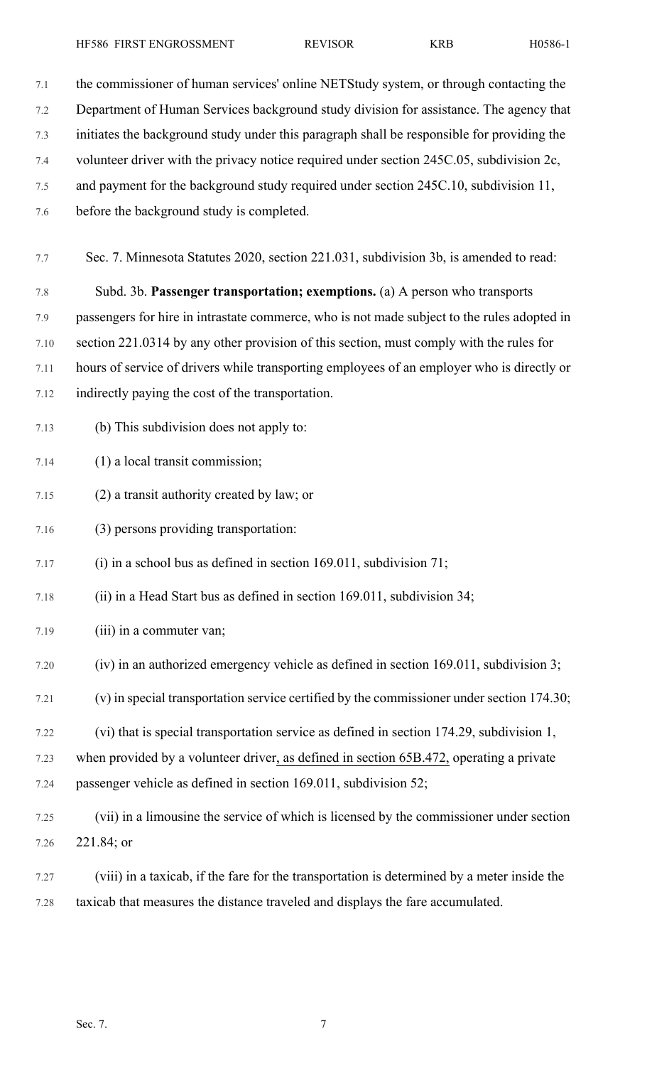7.1 the commissioner of human services' online NETStudy system, or through contacting the 7.2 Department of Human Services background study division for assistance. The agency that 7.3 initiates the background study under this paragraph shall be responsible for providing the 7.4 volunteer driver with the privacy notice required under section 245C.05, subdivision 2c, 7.5 and payment for the background study required under section 245C.10, subdivision 11, 7.6 before the background study is completed. 7.7 Sec. 7. Minnesota Statutes 2020, section 221.031, subdivision 3b, is amended to read: 7.8 Subd. 3b. **Passenger transportation; exemptions.** (a) A person who transports 7.9 passengers for hire in intrastate commerce, who is not made subject to the rules adopted in 7.10 section 221.0314 by any other provision of this section, must comply with the rules for 7.11 hours of service of drivers while transporting employees of an employer who is directly or 7.12 indirectly paying the cost of the transportation. 7.13 (b) This subdivision does not apply to: 7.14 (1) a local transit commission; 7.15 (2) a transit authority created by law; or 7.16 (3) persons providing transportation: 7.17 (i) in a school bus as defined in section 169.011, subdivision 71; 7.18 (ii) in a Head Start bus as defined in section 169.011, subdivision 34; 7.19 (iii) in a commuter van; 7.20 (iv) in an authorized emergency vehicle as defined in section 169.011, subdivision 3; 7.21 (v) in special transportation service certified by the commissioner under section 174.30; 7.22 (vi) that is special transportation service as defined in section 174.29, subdivision 1,

7.23 when provided by a volunteer driver, as defined in section 65B.472, operating a private

7.24 passenger vehicle as defined in section 169.011, subdivision 52;

- 7.25 (vii) in a limousine the service of which is licensed by the commissioner under section 7.26 221.84; or
- 7.27 (viii) in a taxicab, if the fare for the transportation is determined by a meter inside the 7.28 taxicab that measures the distance traveled and displays the fare accumulated.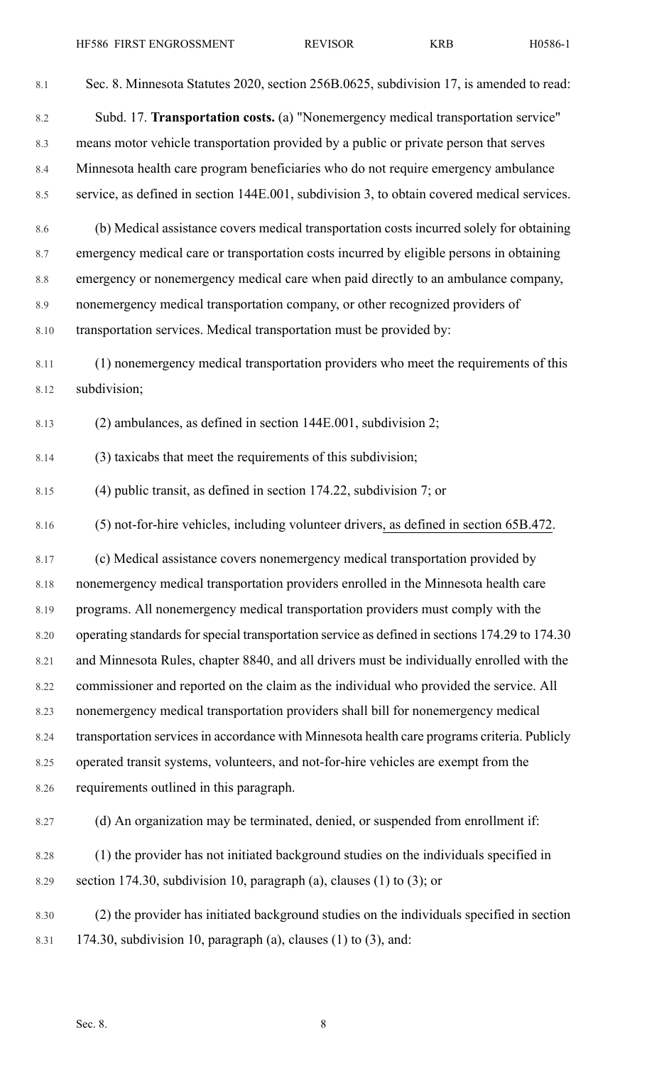| 8.1     | Sec. 8. Minnesota Statutes 2020, section 256B.0625, subdivision 17, is amended to read:        |
|---------|------------------------------------------------------------------------------------------------|
| 8.2     | Subd. 17. Transportation costs. (a) "Nonemergency medical transportation service"              |
| 8.3     | means motor vehicle transportation provided by a public or private person that serves          |
| 8.4     | Minnesota health care program beneficiaries who do not require emergency ambulance             |
| 8.5     | service, as defined in section 144E.001, subdivision 3, to obtain covered medical services.    |
| 8.6     | (b) Medical assistance covers medical transportation costs incurred solely for obtaining       |
| 8.7     | emergency medical care or transportation costs incurred by eligible persons in obtaining       |
| $8.8\,$ | emergency or nonemergency medical care when paid directly to an ambulance company,             |
| 8.9     | nonemergency medical transportation company, or other recognized providers of                  |
| 8.10    | transportation services. Medical transportation must be provided by:                           |
| 8.11    | (1) nonemergency medical transportation providers who meet the requirements of this            |
| 8.12    | subdivision;                                                                                   |
| 8.13    | $(2)$ ambulances, as defined in section 144E.001, subdivision 2;                               |
| 8.14    | (3) taxicabs that meet the requirements of this subdivision;                                   |
| 8.15    | $(4)$ public transit, as defined in section 174.22, subdivision 7; or                          |
| 8.16    | (5) not-for-hire vehicles, including volunteer drivers, as defined in section 65B.472.         |
| 8.17    | (c) Medical assistance covers nonemergency medical transportation provided by                  |
| 8.18    | nonemergency medical transportation providers enrolled in the Minnesota health care            |
| 8.19    | programs. All nonemergency medical transportation providers must comply with the               |
| 8.20    | operating standards for special transportation service as defined in sections 174.29 to 174.30 |
| 8.21    | and Minnesota Rules, chapter 8840, and all drivers must be individually enrolled with the      |
| 8.22    | commissioner and reported on the claim as the individual who provided the service. All         |
| 8.23    | nonemergency medical transportation providers shall bill for nonemergency medical              |
| 8.24    | transportation services in accordance with Minnesota health care programs criteria. Publicly   |
| 8.25    | operated transit systems, volunteers, and not-for-hire vehicles are exempt from the            |
| 8.26    | requirements outlined in this paragraph.                                                       |
| 8.27    | (d) An organization may be terminated, denied, or suspended from enrollment if:                |
| 8.28    | (1) the provider has not initiated background studies on the individuals specified in          |
| 8.29    | section 174.30, subdivision 10, paragraph (a), clauses (1) to (3); or                          |
| 8.30    | (2) the provider has initiated background studies on the individuals specified in section      |
| 8.31    | 174.30, subdivision 10, paragraph (a), clauses $(1)$ to $(3)$ , and:                           |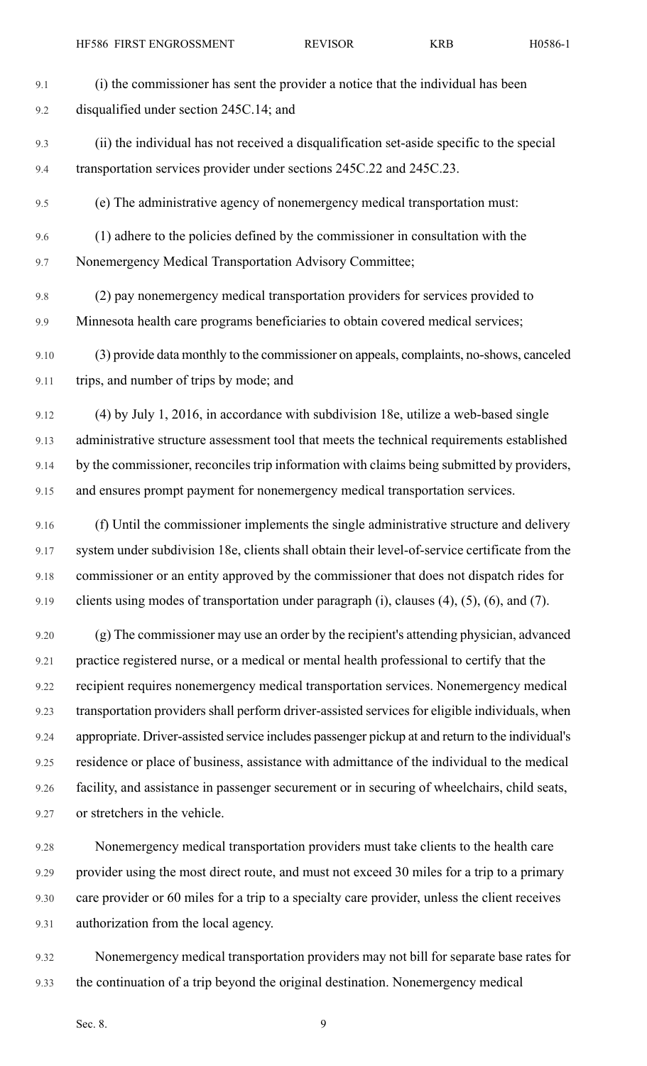9.1 (i) the commissioner has sent the provider a notice that the individual has been 9.2 disqualified under section 245C.14; and 9.3 (ii) the individual has not received a disqualification set-aside specific to the special 9.4 transportation services provider under sections 245C.22 and 245C.23. 9.5 (e) The administrative agency of nonemergency medical transportation must: 9.6 (1) adhere to the policies defined by the commissioner in consultation with the 9.7 Nonemergency Medical Transportation Advisory Committee; 9.8 (2) pay nonemergency medical transportation providers for services provided to 9.9 Minnesota health care programs beneficiaries to obtain covered medical services; 9.10 (3) provide data monthly to the commissioner on appeals, complaints, no-shows, canceled 9.11 trips, and number of trips by mode; and 9.12 (4) by July 1, 2016, in accordance with subdivision 18e, utilize a web-based single 9.13 administrative structure assessment tool that meets the technical requirements established 9.14 by the commissioner, reconciles trip information with claims being submitted by providers, 9.15 and ensures prompt payment for nonemergency medical transportation services. 9.16 (f) Until the commissioner implements the single administrative structure and delivery 9.17 system under subdivision 18e, clients shall obtain their level-of-service certificate from the 9.18 commissioner or an entity approved by the commissioner that does not dispatch rides for 9.19 clients using modes of transportation under paragraph (i), clauses (4), (5), (6), and (7).

9.20 (g) The commissioner may use an order by the recipient's attending physician, advanced 9.21 practice registered nurse, or a medical or mental health professional to certify that the 9.22 recipient requires nonemergency medical transportation services. Nonemergency medical 9.23 transportation providers shall perform driver-assisted services for eligible individuals, when 9.24 appropriate. Driver-assisted service includes passenger pickup at and return to the individual's 9.25 residence or place of business, assistance with admittance of the individual to the medical 9.26 facility, and assistance in passenger securement or in securing of wheelchairs, child seats, 9.27 or stretchers in the vehicle.

9.28 Nonemergency medical transportation providers must take clients to the health care 9.29 provider using the most direct route, and must not exceed 30 miles for a trip to a primary 9.30 care provider or 60 miles for a trip to a specialty care provider, unless the client receives 9.31 authorization from the local agency.

9.32 Nonemergency medical transportation providers may not bill for separate base rates for 9.33 the continuation of a trip beyond the original destination. Nonemergency medical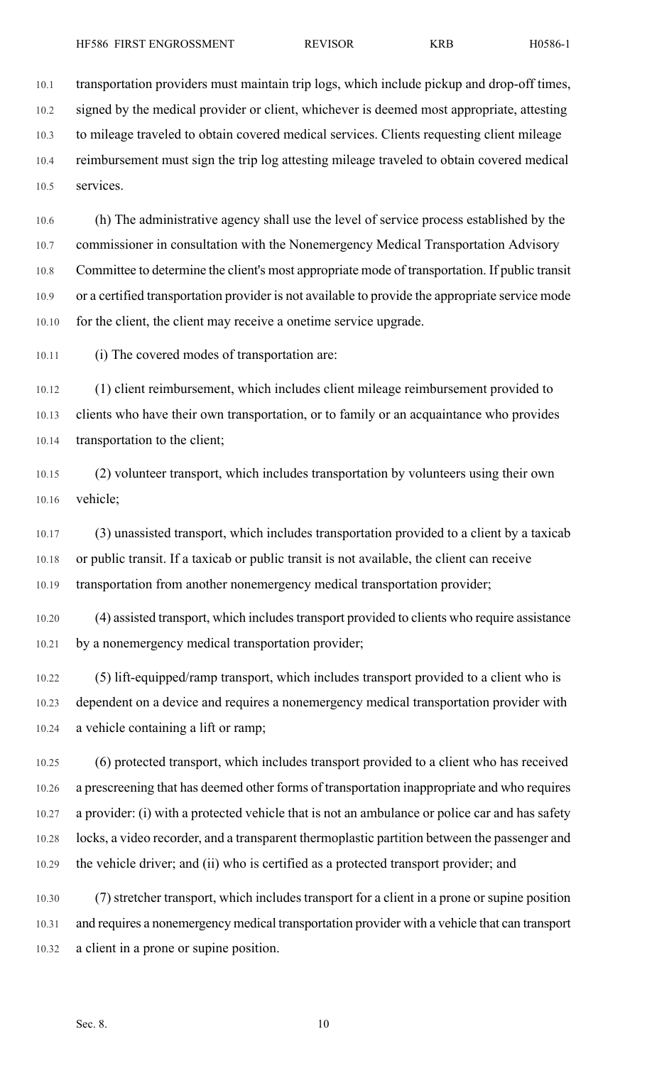10.1 transportation providers must maintain trip logs, which include pickup and drop-off times, 10.2 signed by the medical provider or client, whichever is deemed most appropriate, attesting 10.3 to mileage traveled to obtain covered medical services. Clients requesting client mileage 10.4 reimbursement must sign the trip log attesting mileage traveled to obtain covered medical 10.5 services.

10.6 (h) The administrative agency shall use the level of service process established by the 10.7 commissioner in consultation with the Nonemergency Medical Transportation Advisory 10.8 Committee to determine the client's most appropriate mode of transportation. If public transit 10.9 or a certified transportation provider is not available to provide the appropriate service mode 10.10 for the client, the client may receive a onetime service upgrade.

10.11 (i) The covered modes of transportation are:

10.12 (1) client reimbursement, which includes client mileage reimbursement provided to 10.13 clients who have their own transportation, or to family or an acquaintance who provides 10.14 transportation to the client;

10.15 (2) volunteer transport, which includes transportation by volunteers using their own 10.16 vehicle;

10.17 (3) unassisted transport, which includes transportation provided to a client by a taxicab 10.18 or public transit. If a taxicab or public transit is not available, the client can receive 10.19 transportation from another nonemergency medical transportation provider;

10.20 (4) assisted transport, which includestransport provided to clients who require assistance 10.21 by a nonemergency medical transportation provider;

10.22 (5) lift-equipped/ramp transport, which includes transport provided to a client who is 10.23 dependent on a device and requires a nonemergency medical transportation provider with 10.24 a vehicle containing a lift or ramp;

10.25 (6) protected transport, which includes transport provided to a client who has received 10.26 a prescreening that has deemed other forms of transportation inappropriate and who requires 10.27 a provider: (i) with a protected vehicle that is not an ambulance or police car and has safety 10.28 locks, a video recorder, and a transparent thermoplastic partition between the passenger and 10.29 the vehicle driver; and (ii) who is certified as a protected transport provider; and

10.30 (7) stretcher transport, which includes transport for a client in a prone or supine position 10.31 and requires a nonemergency medical transportation provider with a vehicle that can transport 10.32 a client in a prone or supine position.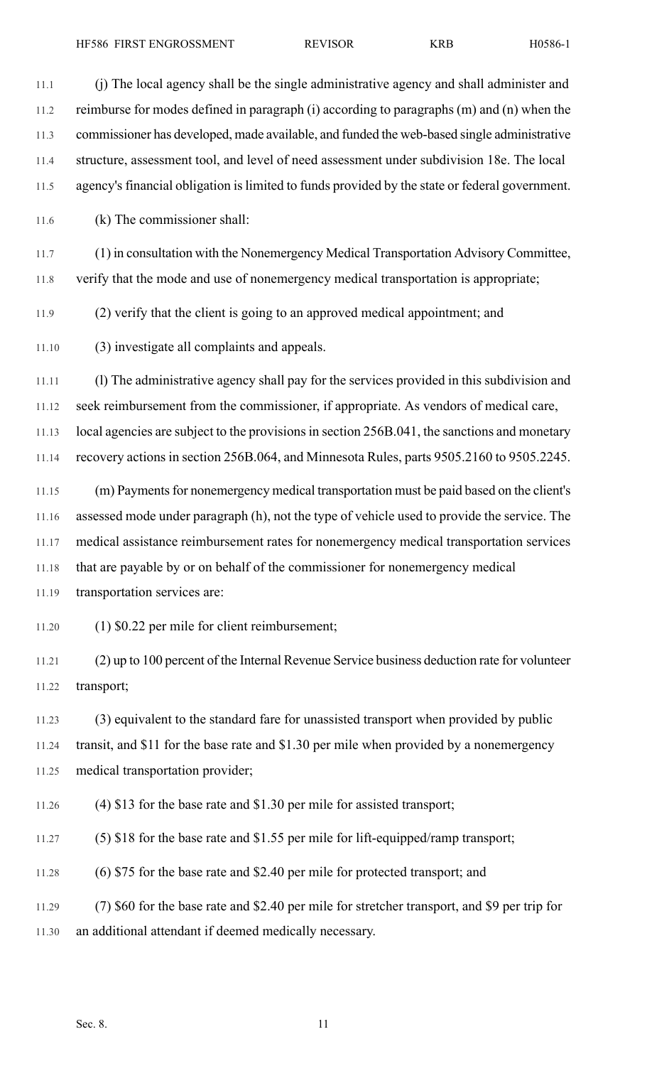11.1 (j) The local agency shall be the single administrative agency and shall administer and 11.2 reimburse for modes defined in paragraph (i) according to paragraphs (m) and (n) when the 11.3 commissioner has developed, made available, and funded the web-based single administrative 11.4 structure, assessment tool, and level of need assessment under subdivision 18e. The local 11.5 agency's financial obligation is limited to funds provided by the state or federal government. 11.6 (k) The commissioner shall: 11.7 (1) in consultation with the Nonemergency Medical Transportation Advisory Committee, 11.8 verify that the mode and use of nonemergency medical transportation is appropriate; 11.9 (2) verify that the client is going to an approved medical appointment; and 11.10 (3) investigate all complaints and appeals. 11.11 (l) The administrative agency shall pay for the services provided in this subdivision and 11.12 seek reimbursement from the commissioner, if appropriate. As vendors of medical care, 11.13 local agencies are subject to the provisions in section 256B.041, the sanctions and monetary 11.14 recovery actions in section 256B.064, and Minnesota Rules, parts 9505.2160 to 9505.2245. 11.15 (m) Payments for nonemergency medical transportation must be paid based on the client's 11.16 assessed mode under paragraph (h), not the type of vehicle used to provide the service. The 11.17 medical assistance reimbursement rates for nonemergency medical transportation services 11.18 that are payable by or on behalf of the commissioner for nonemergency medical 11.19 transportation services are:

11.20 (1) \$0.22 per mile for client reimbursement;

11.21 (2) up to 100 percent of the Internal Revenue Service business deduction rate for volunteer 11.22 transport;

11.23 (3) equivalent to the standard fare for unassisted transport when provided by public 11.24 transit, and \$11 for the base rate and \$1.30 per mile when provided by a nonemergency 11.25 medical transportation provider;

11.26 (4) \$13 for the base rate and \$1.30 per mile for assisted transport;

11.27 (5) \$18 for the base rate and \$1.55 per mile for lift-equipped/ramp transport;

11.28 (6) \$75 for the base rate and \$2.40 per mile for protected transport; and

11.29 (7) \$60 for the base rate and \$2.40 per mile for stretcher transport, and \$9 per trip for 11.30 an additional attendant if deemed medically necessary.